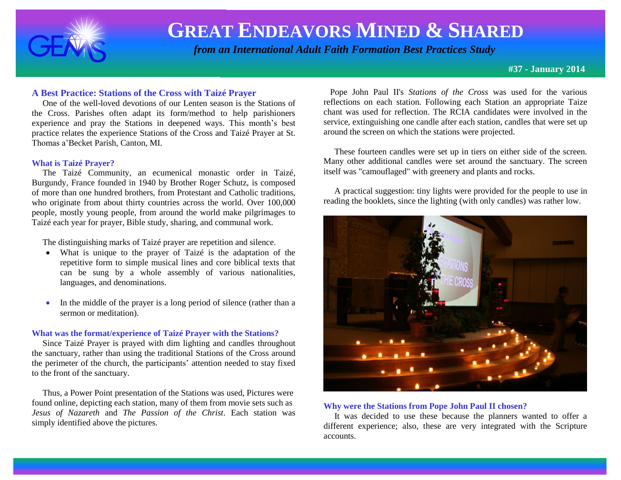

# **GREAT ENDEAVORS MINED & SHARED**

 *from an International Adult Faith Formation Best Practices Study*

**#37 - January 2014**

### **A Best Practice: Stations of the Cross with Taizé Prayer**

 One of the well-loved devotions of our Lenten season is the Stations of the Cross. Parishes often adapt its form/method to help parishioners experience and pray the Stations in deepened ways. This month's best practice relates the experience Stations of the Cross and Taizé Prayer at St. Thomas a'Becket Parish, Canton, MI.

#### **What is Taizé Prayer?**

The Taizé Community, an [ecumenical](http://en.wikipedia.org/wiki/Ecumenical) [monastic](http://en.wikipedia.org/wiki/Monasticism) [order](http://en.wikipedia.org/wiki/Order_(religious)) in [Taizé,](http://en.wikipedia.org/wiki/Taiz%C3%A9,_Sa%C3%B4ne-et-Loire) [Burgundy,](http://en.wikipedia.org/wiki/Bourgogne) [France](http://en.wikipedia.org/wiki/France) founded in 1940 by Brother Roger Schutz, is composed of more than one hundred brothers, from [Protestant](http://en.wikipedia.org/wiki/Protestant) and [Catholic](http://en.wikipedia.org/wiki/Catholic_Church) traditions, who originate from about thirty countries across the world. Over 100,000 people, mostly young people, from around the world make pilgrimages to Taizé each year for prayer, Bible study, sharing, and communal work.

The distinguishing marks of Taizé prayer are repetition and silence.

- What is unique to the prayer of Taizé is the adaptation of the repetitive form to simple musical lines and core biblical texts that can be sung by a whole assembly of various nationalities, languages, and denominations.
- In the middle of the prayer is a long period of silence (rather than a sermon or meditation).

#### **What was the format/experience of Taizé Prayer with the Stations?**

 Since Taizé Prayer is prayed with dim lighting and candles throughout the sanctuary, rather than using the traditional Stations of the Cross around the perimeter of the church, the participants' attention needed to stay fixed to the front of the sanctuary.

 Thus, a Power Point presentation of the Stations was used, Pictures were found online, depicting each station, many of them from movie sets such as *Jesus of Nazareth* and *The Passion of the Christ*. Each station was simply identified above the pictures.

 Pope John Paul II's *Stations of the Cross* was used for the various reflections on each station. Following each Station an appropriate Taize chant was used for reflection. The RCIA candidates were involved in the service, extinguishing one candle after each station, candles that were set up around the screen on which the stations were projected.

 These fourteen candles were set up in tiers on either side of the screen. Many other additional candles were set around the sanctuary. The screen itself was "camouflaged" with greenery and plants and rocks.

 A practical suggestion: tiny lights were provided for the people to use in reading the booklets, since the lighting (with only candles) was rather low.



#### **Why were the Stations from Pope John Paul II chosen?**

It was decided to use these because the planners wanted to offer a different experience; also, these are very integrated with the Scripture accounts.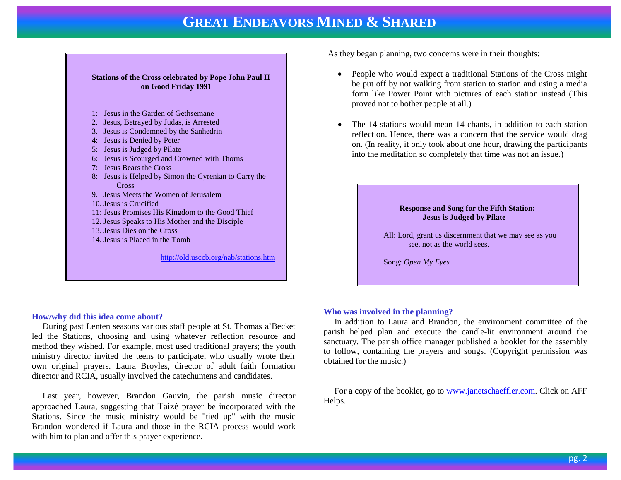## **GREAT ENDEAVORS MINED & SHARED**



#### **How/why did this idea come about?**

 During past Lenten seasons various staff people at St. Thomas a'Becket led the Stations, choosing and using whatever reflection resource and method they wished. For example, most used traditional prayers; the youth ministry director invited the teens to participate, who usually wrote their own original prayers. Laura Broyles, director of adult faith formation director and RCIA, usually involved the catechumens and candidates.

 Last year, however, Brandon Gauvin, the parish music director approached Laura, suggesting that Taizé prayer be incorporated with the Stations. Since the music ministry would be "tied up" with the music Brandon wondered if Laura and those in the RCIA process would work with him to plan and offer this prayer experience.

As they began planning, two concerns were in their thoughts:

- People who would expect a traditional Stations of the Cross might be put off by not walking from station to station and using a media form like Power Point with pictures of each station instead (This proved not to bother people at all.)
- The 14 stations would mean 14 chants, in addition to each station reflection. Hence, there was a concern that the service would drag on. (In reality, it only took about one hour, drawing the participants into the meditation so completely that time was not an issue.)

#### **Response and Song for the Fifth Station: Jesus is Judged by Pilate**

All: Lord, grant us discernment that we may see as you see, not as the world sees.

Song: *Open My Eyes*

#### **Who was involved in the planning?**

 In addition to Laura and Brandon, the environment committee of the parish helped plan and execute the candle-lit environment around the sanctuary. The parish office manager published a booklet for the assembly to follow, containing the prayers and songs. (Copyright permission was obtained for the music.)

 For a copy of the booklet, go to [www.janetschaeffler.com.](http://www.janetschaeffler.com/) Click on AFF Helps.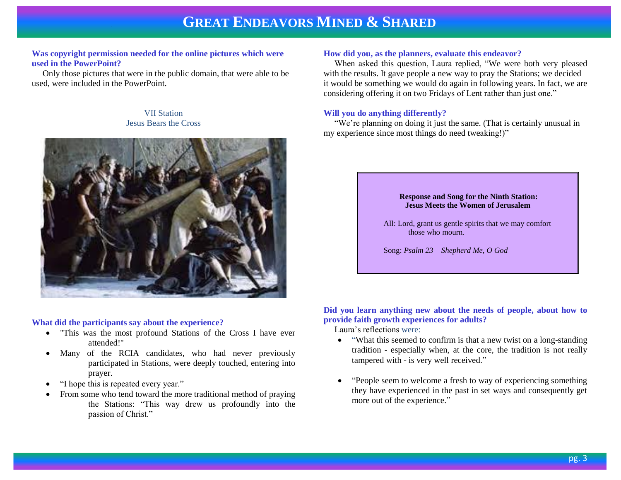## **GREAT ENDEAVORS MINED & SHARED**

#### **Was copyright permission needed for the online pictures which were used in the PowerPoint?**

Only those pictures that were in the public domain, that were able to be used, were included in the PowerPoint.

#### VII Station Jesus Bears the Cross



#### **What did the participants say about the experience?**

- "This was the most profound Stations of the Cross I have ever attended!"
- Many of the RCIA candidates, who had never previously participated in Stations, were deeply touched, entering into prayer.
- "I hope this is repeated every year."
- From some who tend toward the more traditional method of praying the Stations: "This way drew us profoundly into the passion of Christ."

#### **How did you, as the planners, evaluate this endeavor?**

 When asked this question, Laura replied, "We were both very pleased with the results. It gave people a new way to pray the Stations; we decided it would be something we would do again in following years. In fact, we are considering offering it on two Fridays of Lent rather than just one."

#### **Will you do anything differently?**

 "We're planning on doing it just the same. (That is certainly unusual in my experience since most things do need tweaking!)"

#### **Response and Song for the Ninth Station: Jesus Meets the Women of Jerusalem**

All: Lord, grant us gentle spirits that we may comfort those who mourn.

Song: *Psalm 23 – Shepherd Me, O God*

#### **Did you learn anything new about the needs of people, about how to provide faith growth experiences for adults?**

Laura's reflections were:

- "What this seemed to confirm is that a new twist on a long-standing tradition - especially when, at the core, the tradition is not really tampered with - is very well received."
- "People seem to welcome a fresh to way of experiencing something they have experienced in the past in set ways and consequently get more out of the experience."